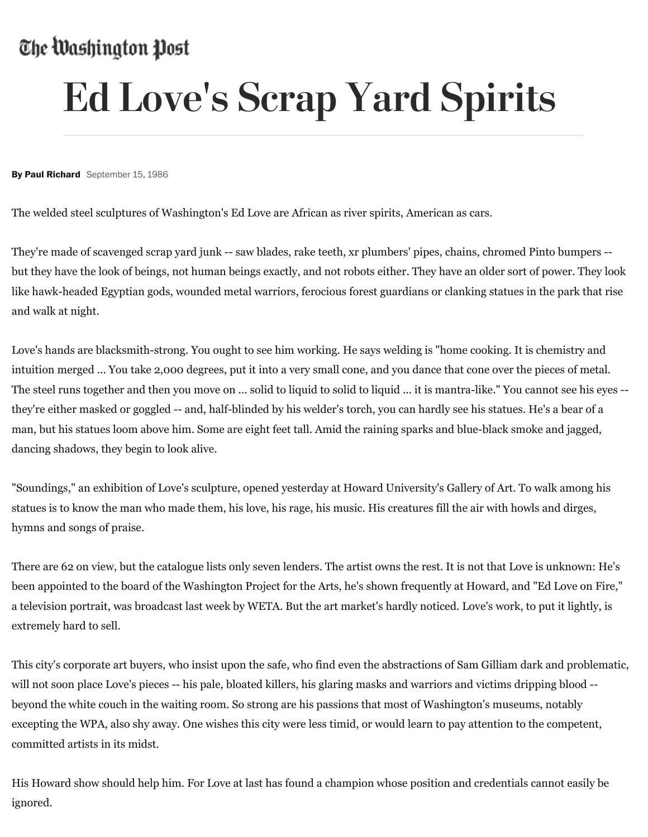## The Washington Post

## Ed Love's Scrap Yard Spirits

**By Paul Richard** September 15, 1986

The welded steel sculptures of Washington's Ed Love are African as river spirits, American as cars.

They're made of scavenged scrap yard junk -- saw blades, rake teeth, xr plumbers' pipes, chains, chromed Pinto bumpers - but they have the look of beings, not human beings exactly, and not robots either. They have an older sort of power. They look like hawk-headed Egyptian gods, wounded metal warriors, ferocious forest guardians or clanking statues in the park that rise and walk at night.

Love's hands are blacksmith-strong. You ought to see him working. He says welding is "home cooking. It is chemistry and intuition merged ... You take 2,000 degrees, put it into a very small cone, and you dance that cone over the pieces of metal. The steel runs together and then you move on ... solid to liquid to solid to liquid ... it is mantra-like." You cannot see his eyes - they're either masked or goggled -- and, half-blinded by his welder's torch, you can hardly see his statues. He's a bear of a man, but his statues loom above him. Some are eight feet tall. Amid the raining sparks and blue-black smoke and jagged, dancing shadows, they begin to look alive.

"Soundings," an exhibition of Love's sculpture, opened yesterday at Howard University's Gallery of Art. To walk among his statues is to know the man who made them, his love, his rage, his music. His creatures fill the air with howls and dirges, hymns and songs of praise.

There are 62 on view, but the catalogue lists only seven lenders. The artist owns the rest. It is not that Love is unknown: He's been appointed to the board of the Washington Project for the Arts, he's shown frequently at Howard, and "Ed Love on Fire," a television portrait, was broadcast last week by WETA. But the art market's hardly noticed. Love's work, to put it lightly, is extremely hard to sell.

This city's corporate art buyers, who insist upon the safe, who find even the abstractions of Sam Gilliam dark and problematic, will not soon place Love's pieces -- his pale, bloated killers, his glaring masks and warriors and victims dripping blood - beyond the white couch in the waiting room. So strong are his passions that most of Washington's museums, notably excepting the WPA, also shy away. One wishes this city were less timid, or would learn to pay attention to the competent, committed artists in its midst.

His Howard show should help him. For Love at last has found a champion whose position and credentials cannot easily be ignored.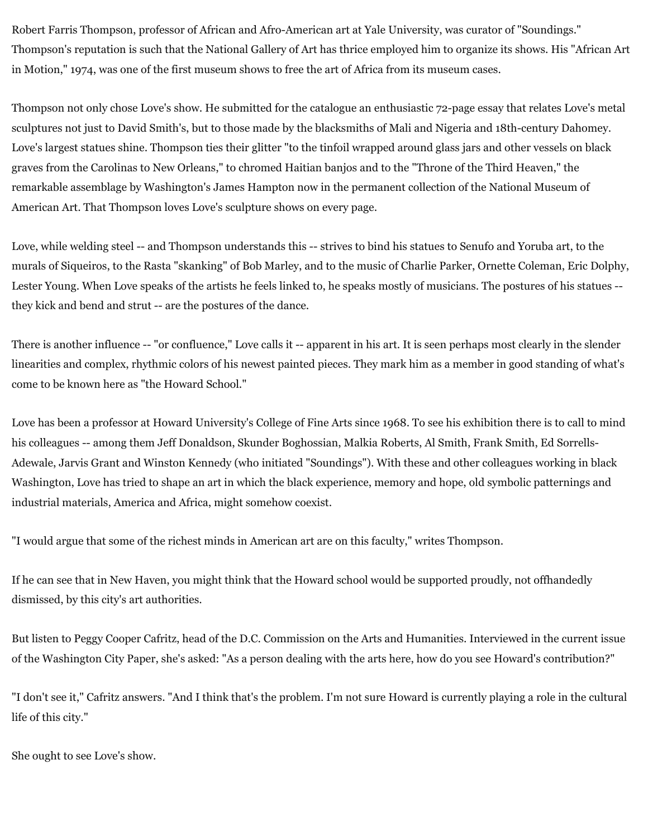Robert Farris Thompson, professor of African and Afro-American art at Yale University, was curator of "Soundings." Thompson's reputation is such that the National Gallery of Art has thrice employed him to organize its shows. His "African Art in Motion," 1974, was one of the first museum shows to free the art of Africa from its museum cases.

Thompson not only chose Love's show. He submitted for the catalogue an enthusiastic 72-page essay that relates Love's metal sculptures not just to David Smith's, but to those made by the blacksmiths of Mali and Nigeria and 18th-century Dahomey. Love's largest statues shine. Thompson ties their glitter "to the tinfoil wrapped around glass jars and other vessels on black graves from the Carolinas to New Orleans," to chromed Haitian banjos and to the "Throne of the Third Heaven," the remarkable assemblage by Washington's James Hampton now in the permanent collection of the National Museum of American Art. That Thompson loves Love's sculpture shows on every page.

Love, while welding steel -- and Thompson understands this -- strives to bind his statues to Senufo and Yoruba art, to the murals of Siqueiros, to the Rasta "skanking" of Bob Marley, and to the music of Charlie Parker, Ornette Coleman, Eric Dolphy, Lester Young. When Love speaks of the artists he feels linked to, he speaks mostly of musicians. The postures of his statues - they kick and bend and strut -- are the postures of the dance.

There is another influence -- "or confluence," Love calls it -- apparent in his art. It is seen perhaps most clearly in the slender linearities and complex, rhythmic colors of his newest painted pieces. They mark him as a member in good standing of what's come to be known here as "the Howard School."

Love has been a professor at Howard University's College of Fine Arts since 1968. To see his exhibition there is to call to mind his colleagues -- among them Jeff Donaldson, Skunder Boghossian, Malkia Roberts, Al Smith, Frank Smith, Ed Sorrells-Adewale, Jarvis Grant and Winston Kennedy (who initiated "Soundings"). With these and other colleagues working in black Washington, Love has tried to shape an art in which the black experience, memory and hope, old symbolic patternings and industrial materials, America and Africa, might somehow coexist.

"I would argue that some of the richest minds in American art are on this faculty," writes Thompson.

If he can see that in New Haven, you might think that the Howard school would be supported proudly, not offhandedly dismissed, by this city's art authorities.

But listen to Peggy Cooper Cafritz, head of the D.C. Commission on the Arts and Humanities. Interviewed in the current issue of the Washington City Paper, she's asked: "As a person dealing with the arts here, how do you see Howard's contribution?"

"I don't see it," Cafritz answers. "And I think that's the problem. I'm not sure Howard is currently playing a role in the cultural life of this city."

She ought to see Love's show.